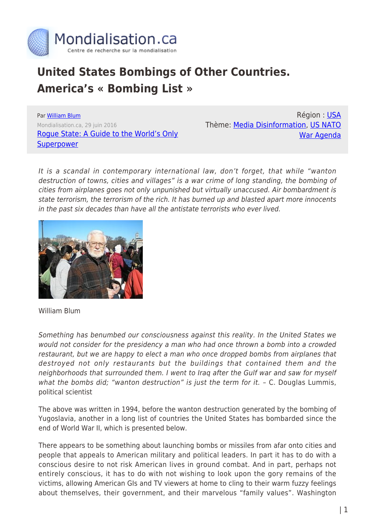

## **United States Bombings of Other Countries. America's « Bombing List »**

Par [William Blum](https://www.mondialisation.ca/author/william-blum) Mondialisation.ca, 29 juin 2016 [Rogue State: A Guide to the World's Only](https://williamblum.org/chapters/rogue-state/united-states-bombings-of-other-countries) **[Superpower](https://williamblum.org/chapters/rogue-state/united-states-bombings-of-other-countries)** 

Région : [USA](https://www.mondialisation.ca/region/usa) Thème: [Media Disinformation,](https://www.mondialisation.ca/theme/media-disinformation) [US NATO](https://www.mondialisation.ca/theme/us-nato-war-agenda) [War Agenda](https://www.mondialisation.ca/theme/us-nato-war-agenda)

It is a scandal in contemporary international law, don't forget, that while "wanton destruction of towns, cities and villages" is a war crime of long standing, the bombing of cities from airplanes goes not only unpunished but virtually unaccused. Air bombardment is state terrorism, the terrorism of the rich. It has burned up and blasted apart more innocents in the past six decades than have all the antistate terrorists who ever lived.



William Blum

Something has benumbed our consciousness against this reality. In the United States we would not consider for the presidency a man who had once thrown a bomb into a crowded restaurant, but we are happy to elect a man who once dropped bombs from airplanes that destroyed not only restaurants but the buildings that contained them and the neighborhoods that surrounded them. I went to Iraq after the Gulf war and saw for myself what the bombs did; "wanton destruction" is just the term for it. - C. Douglas Lummis, political scientist

The above was written in 1994, before the wanton destruction generated by the bombing of Yugoslavia, another in a long list of countries the United States has bombarded since the end of World War II, which is presented below.

There appears to be something about launching bombs or missiles from afar onto cities and people that appeals to American military and political leaders. In part it has to do with a conscious desire to not risk American lives in ground combat. And in part, perhaps not entirely conscious, it has to do with not wishing to look upon the gory remains of the victims, allowing American GIs and TV viewers at home to cling to their warm fuzzy feelings about themselves, their government, and their marvelous "family values". Washington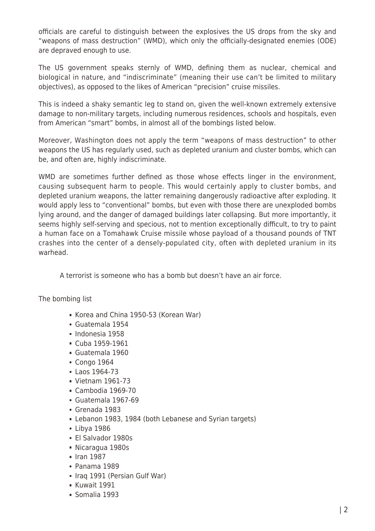officials are careful to distinguish between the explosives the US drops from the sky and "weapons of mass destruction" (WMD), which only the officially-designated enemies (ODE) are depraved enough to use.

The US government speaks sternly of WMD, defining them as nuclear, chemical and biological in nature, and "indiscriminate" (meaning their use can't be limited to military objectives), as opposed to the likes of American "precision" cruise missiles.

This is indeed a shaky semantic leg to stand on, given the well-known extremely extensive damage to non-military targets, including numerous residences, schools and hospitals, even from American "smart" bombs, in almost all of the bombings listed below.

Moreover, Washington does not apply the term "weapons of mass destruction" to other weapons the US has regularly used, such as depleted uranium and cluster bombs, which can be, and often are, highly indiscriminate.

WMD are sometimes further defined as those whose effects linger in the environment, causing subsequent harm to people. This would certainly apply to cluster bombs, and depleted uranium weapons, the latter remaining dangerously radioactive after exploding. It would apply less to "conventional" bombs, but even with those there are unexploded bombs lying around, and the danger of damaged buildings later collapsing. But more importantly, it seems highly self-serving and specious, not to mention exceptionally difficult, to try to paint a human face on a Tomahawk Cruise missile whose payload of a thousand pounds of TNT crashes into the center of a densely-populated city, often with depleted uranium in its warhead.

A terrorist is someone who has a bomb but doesn't have an air force.

The bombing list

- Korea and China 1950-53 (Korean War)
- Guatemala 1954
- $\blacksquare$  Indonesia 1958
- Cuba 1959-1961
- Guatemala 1960
- Congo 1964
- Laos 1964-73
- Vietnam 1961-73
- $C$ ambodia 1969-70
- Guatemala 1967-69
- Grenada 1983
- Lebanon 1983, 1984 (both Lebanese and Syrian targets)
- Libya 1986
- El Salvador 1980s
- Nicaragua 1980s
- $Iran 1987$
- Panama 1989
- Iraq 1991 (Persian Gulf War)
- **Kuwait 1991**
- Somalia 1993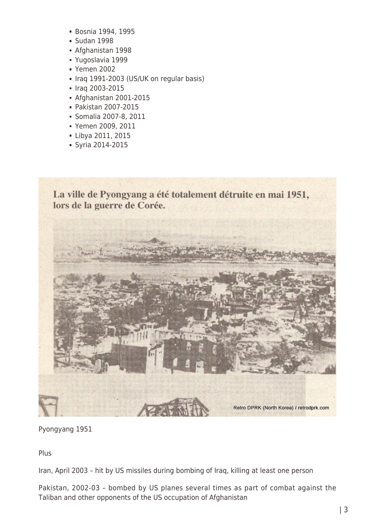- Bosnia 1994, 1995
- Sudan 1998
- Afghanistan 1998
- Yugoslavia 1999
- Yemen 2002
- Iraq 1991-2003 (US/UK on regular basis)
- Iraq 2003-2015
- Afghanistan 2001-2015
- Pakistan 2007-2015
- Somalia 2007-8, 2011
- Yemen 2009, 2011
- Libya 2011, 2015
- Syria 2014-2015





Pyongyang 1951

Plus

Iran, April 2003 – hit by US missiles during bombing of Iraq, killing at least one person

Pakistan, 2002-03 – bombed by US planes several times as part of combat against the Taliban and other opponents of the US occupation of Afghanistan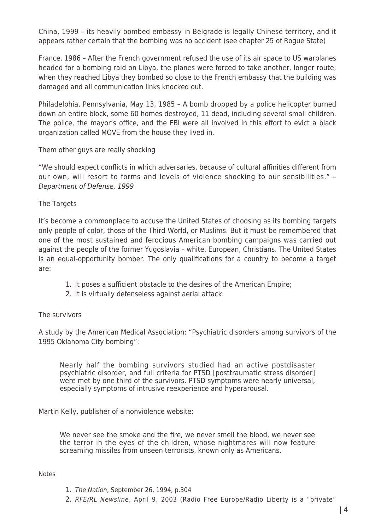China, 1999 – its heavily bombed embassy in Belgrade is legally Chinese territory, and it appears rather certain that the bombing was no accident (see chapter 25 of Rogue State)

France, 1986 – After the French government refused the use of its air space to US warplanes headed for a bombing raid on Libya, the planes were forced to take another, longer route; when they reached Libya they bombed so close to the French embassy that the building was damaged and all communication links knocked out.

Philadelphia, Pennsylvania, May 13, 1985 – A bomb dropped by a police helicopter burned down an entire block, some 60 homes destroyed, 11 dead, including several small children. The police, the mayor's office, and the FBI were all involved in this effort to evict a black organization called MOVE from the house they lived in.

Them other guys are really shocking

"We should expect conflicts in which adversaries, because of cultural affinities different from our own, will resort to forms and levels of violence shocking to our sensibilities." – Department of Defense, 1999

The Targets

It's become a commonplace to accuse the United States of choosing as its bombing targets only people of color, those of the Third World, or Muslims. But it must be remembered that one of the most sustained and ferocious American bombing campaigns was carried out against the people of the former Yugoslavia – white, European, Christians. The United States is an equal-opportunity bomber. The only qualifications for a country to become a target are:

- 1. It poses a sufficient obstacle to the desires of the American Empire;
- 2. It is virtually defenseless against aerial attack.

## The survivors

A study by the American Medical Association: "Psychiatric disorders among survivors of the 1995 Oklahoma City bombing":

Nearly half the bombing survivors studied had an active postdisaster psychiatric disorder, and full criteria for PTSD [posttraumatic stress disorder] were met by one third of the survivors. PTSD symptoms were nearly universal, especially symptoms of intrusive reexperience and hyperarousal.

Martin Kelly, publisher of a nonviolence website:

We never see the smoke and the fire, we never smell the blood, we never see the terror in the eyes of the children, whose nightmares will now feature screaming missiles from unseen terrorists, known only as Americans.

## **Notes**

- 1. The Nation, September 26, 1994, p.304
- 2. RFE/RL Newsline, April 9, 2003 (Radio Free Europe/Radio Liberty is a "private"